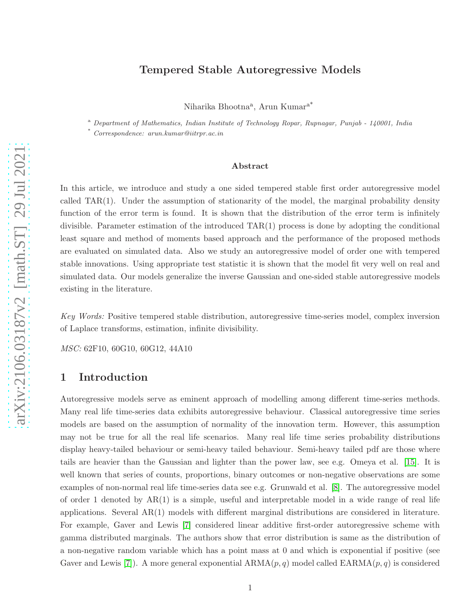## Tempered Stable Autoregressive Models

Niharika Bhootna<sup>a</sup>, Arun Kumar<sup>a\*</sup>

<sup>a</sup> *Department of Mathematics, Indian Institute of Technology Ropar, Rupnagar, Punjab - 140001, India*

\* *Correspondence: arun.kumar@iitrpr.ac.in*

#### Abstract

In this article, we introduce and study a one sided tempered stable first order autoregressive model called TAR(1). Under the assumption of stationarity of the model, the marginal probability density function of the error term is found. It is shown that the distribution of the error term is infinitely divisible. Parameter estimation of the introduced TAR(1) process is done by adopting the conditional least square and method of moments based approach and the performance of the proposed methods are evaluated on simulated data. Also we study an autoregressive model of order one with tempered stable innovations. Using appropriate test statistic it is shown that the model fit very well on real and simulated data. Our models generalize the inverse Gaussian and one-sided stable autoregressive models existing in the literature.

Key Words: Positive tempered stable distribution, autoregressive time-series model, complex inversion of Laplace transforms, estimation, infinite divisibility.

MSC: 62F10, 60G10, 60G12, 44A10

# 1 Introduction

Autoregressive models serve as eminent approach of modelling among different time-series methods. Many real life time-series data exhibits autoregressive behaviour. Classical autoregressive time series models are based on the assumption of normality of the innovation term. However, this assumption may not be true for all the real life scenarios. Many real life time series probability distributions display heavy-tailed behaviour or semi-heavy tailed behaviour. Semi-heavy tailed pdf are those where tails are heavier than the Gaussian and lighter than the power law, see e.g. Omeya et al. [\[15\]](#page-18-0). It is well known that series of counts, proportions, binary outcomes or non-negative observations are some examples of non-normal real life time-series data see e.g. Grunwald et al. [\[8\]](#page-17-0). The autoregressive model of order 1 denoted by  $AR(1)$  is a simple, useful and interpretable model in a wide range of real life applications. Several AR(1) models with different marginal distributions are considered in literature. For example, Gaver and Lewis [\[7\]](#page-17-1) considered linear additive first-order autoregressive scheme with gamma distributed marginals. The authors show that error distribution is same as the distribution of a non-negative random variable which has a point mass at 0 and which is exponential if positive (see Gaver and Lewis [\[7\]](#page-17-1)). A more general exponential  $ARMA(p,q)$  model called  $EARMA(p,q)$  is considered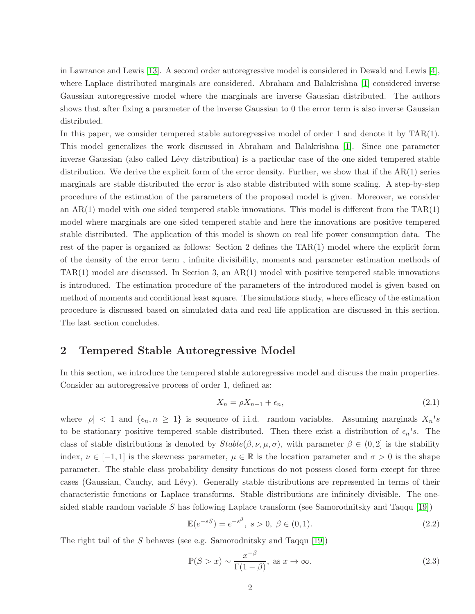in Lawrance and Lewis [\[13\]](#page-18-1). A second order autoregressive model is considered in Dewald and Lewis [\[4\]](#page-17-2), where Laplace distributed marginals are considered. Abraham and Balakrishna [\[1\]](#page-17-3) considered inverse Gaussian autoregressive model where the marginals are inverse Gaussian distributed. The authors shows that after fixing a parameter of the inverse Gaussian to 0 the error term is also inverse Gaussian distributed.

In this paper, we consider tempered stable autoregressive model of order 1 and denote it by TAR(1). This model generalizes the work discussed in Abraham and Balakrishna [\[1\]](#page-17-3). Since one parameter inverse Gaussian (also called Lévy distribution) is a particular case of the one sided tempered stable distribution. We derive the explicit form of the error density. Further, we show that if the AR(1) series marginals are stable distributed the error is also stable distributed with some scaling. A step-by-step procedure of the estimation of the parameters of the proposed model is given. Moreover, we consider an  $AR(1)$  model with one sided tempered stable innovations. This model is different from the  $TAR(1)$ model where marginals are one sided tempered stable and here the innovations are positive tempered stable distributed. The application of this model is shown on real life power consumption data. The rest of the paper is organized as follows: Section 2 defines the TAR(1) model where the explicit form of the density of the error term , infinite divisibility, moments and parameter estimation methods of  $TAR(1)$  model are discussed. In Section 3, an  $AR(1)$  model with positive tempered stable innovations is introduced. The estimation procedure of the parameters of the introduced model is given based on method of moments and conditional least square. The simulations study, where efficacy of the estimation procedure is discussed based on simulated data and real life application are discussed in this section. The last section concludes.

## 2 Tempered Stable Autoregressive Model

In this section, we introduce the tempered stable autoregressive model and discuss the main properties. Consider an autoregressive process of order 1, defined as:

<span id="page-1-0"></span>
$$
X_n = \rho X_{n-1} + \epsilon_n,\tag{2.1}
$$

where  $|\rho| < 1$  and  $\{\epsilon_n, n \geq 1\}$  is sequence of i.i.d. random variables. Assuming marginals  $X_n$ 's to be stationary positive tempered stable distributed. Then there exist a distribution of  $\epsilon_n$ 's. The class of stable distributions is denoted by  $Stable(\beta, \nu, \mu, \sigma)$ , with parameter  $\beta \in (0, 2]$  is the stability index,  $\nu \in [-1,1]$  is the skewness parameter,  $\mu \in \mathbb{R}$  is the location parameter and  $\sigma > 0$  is the shape parameter. The stable class probability density functions do not possess closed form except for three cases (Gaussian, Cauchy, and Lévy). Generally stable distributions are represented in terms of their characteristic functions or Laplace transforms. Stable distributions are infinitely divisible. The onesided stable random variable S has following Laplace transform (see Samorodnitsky and Taqqu  $[19]$ )

$$
\mathbb{E}(e^{-sS}) = e^{-s^{\beta}}, \ s > 0, \ \beta \in (0,1). \tag{2.2}
$$

The right tail of the S behaves (see e.g. Samorodnitsky and Taqqu [\[19\]](#page-18-2))

<span id="page-1-1"></span>
$$
\mathbb{P}(S > x) \sim \frac{x^{-\beta}}{\Gamma(1-\beta)}, \text{ as } x \to \infty.
$$
 (2.3)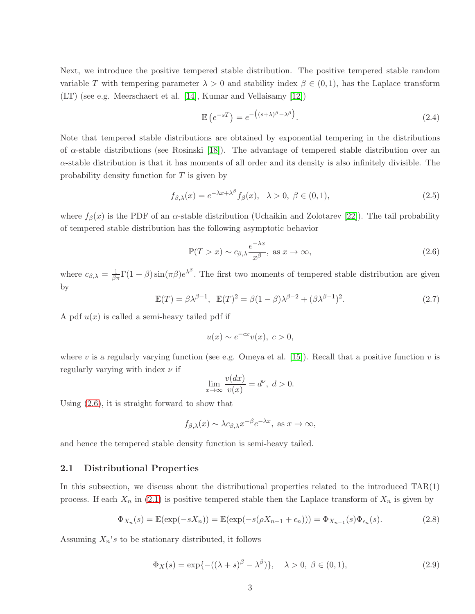Next, we introduce the positive tempered stable distribution. The positive tempered stable random variable T with tempering parameter  $\lambda > 0$  and stability index  $\beta \in (0,1)$ , has the Laplace transform (LT) (see e.g. Meerschaert et al. [\[14\]](#page-18-3), Kumar and Vellaisamy [\[12\]](#page-18-4))

<span id="page-2-3"></span>
$$
\mathbb{E}\left(e^{-sT}\right) = e^{-\left((s+\lambda)^{\beta}-\lambda^{\beta}\right)}.
$$
\n(2.4)

Note that tempered stable distributions are obtained by exponential tempering in the distributions of  $\alpha$ -stable distributions (see Rosinski [\[18\]](#page-18-5)). The advantage of tempered stable distribution over an  $\alpha$ -stable distribution is that it has moments of all order and its density is also infinitely divisible. The probability density function for T is given by

$$
f_{\beta,\lambda}(x) = e^{-\lambda x + \lambda^{\beta}} f_{\beta}(x), \quad \lambda > 0, \ \beta \in (0,1), \tag{2.5}
$$

where  $f_{\beta}(x)$  is the PDF of an  $\alpha$ -stable distribution (Uchaikin and Zolotarev [\[22\]](#page-18-6)). The tail probability of tempered stable distribution has the following asymptotic behavior

$$
\mathbb{P}(T > x) \sim c_{\beta,\lambda} \frac{e^{-\lambda x}}{x^{\beta}}, \text{ as } x \to \infty,
$$
\n(2.6)

where  $c_{\beta,\lambda} = \frac{1}{\beta \pi} \Gamma(1+\beta) \sin(\pi \beta) e^{\lambda^{\beta}}$ . The first two moments of tempered stable distribution are given by

$$
\mathbb{E}(T) = \beta \lambda^{\beta - 1}, \quad \mathbb{E}(T)^2 = \beta (1 - \beta) \lambda^{\beta - 2} + (\beta \lambda^{\beta - 1})^2. \tag{2.7}
$$

A pdf  $u(x)$  is called a semi-heavy tailed pdf if

<span id="page-2-0"></span>
$$
u(x) \sim e^{-cx}v(x), \ c > 0,
$$

where v is a regularly varying function (see e.g. Omeya et al. [\[15\]](#page-18-0)). Recall that a positive function v is regularly varying with index  $\nu$  if

<span id="page-2-1"></span>
$$
\lim_{x \to \infty} \frac{v(dx)}{v(x)} = d^{\nu}, \ d > 0.
$$

Using [\(2.6\)](#page-2-0), it is straight forward to show that

$$
f_{\beta,\lambda}(x) \sim \lambda c_{\beta,\lambda} x^{-\beta} e^{-\lambda x}
$$
, as  $x \to \infty$ ,

and hence the tempered stable density function is semi-heavy tailed.

### 2.1 Distributional Properties

In this subsection, we discuss about the distributional properties related to the introduced TAR(1) process. If each  $X_n$  in [\(2.1\)](#page-1-0) is positive tempered stable then the Laplace transform of  $X_n$  is given by

$$
\Phi_{X_n}(s) = \mathbb{E}(\exp(-sX_n)) = \mathbb{E}(\exp(-s(\rho X_{n-1} + \epsilon_n))) = \Phi_{X_{n-1}}(s)\Phi_{\epsilon_n}(s).
$$
\n(2.8)

Assuming  $X_n$ 's to be stationary distributed, it follows

<span id="page-2-2"></span>
$$
\Phi_X(s) = \exp\{-( (\lambda + s)^{\beta} - \lambda^{\beta})\}, \quad \lambda > 0, \ \beta \in (0, 1), \tag{2.9}
$$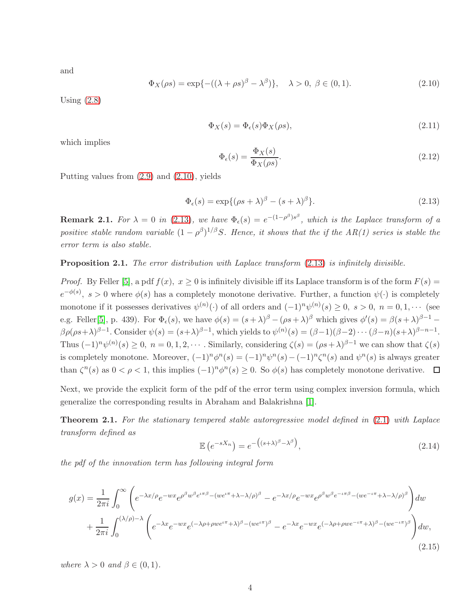and

<span id="page-3-0"></span>
$$
\Phi_X(\rho s) = \exp\{-(\left(\lambda + \rho s\right)^{\beta} - \lambda^{\beta})\}, \quad \lambda > 0, \ \beta \in (0, 1). \tag{2.10}
$$

Using  $(2.8)$ 

$$
\Phi_X(s) = \Phi_{\epsilon}(s)\Phi_X(\rho s),\tag{2.11}
$$

which implies

$$
\Phi_{\epsilon}(s) = \frac{\Phi_X(s)}{\Phi_X(\rho s)}.\tag{2.12}
$$

Putting values from [\(2.9\)](#page-2-2) and [\(2.10\)](#page-3-0), yields

<span id="page-3-1"></span>
$$
\Phi_{\epsilon}(s) = \exp\{(\rho s + \lambda)^{\beta} - (s + \lambda)^{\beta}\}.
$$
\n(2.13)

**Remark 2.1.** For  $\lambda = 0$  in [\(2.13\)](#page-3-1), we have  $\Phi_{\epsilon}(s) = e^{-(1-\rho^{\beta})s^{\beta}}$ , which is the Laplace transform of a positive stable random variable  $(1 - \rho^{\beta})^{1/\beta}S$ . Hence, it shows that the if the AR(1) series is stable the error term is also stable.

<span id="page-3-3"></span>**Proposition 2.1.** The error distribution with Laplace transform  $(2.13)$  is infinitely divisible.

*Proof.* By Feller [\[5\]](#page-17-4), a pdf  $f(x)$ ,  $x \ge 0$  is infinitely divisible iff its Laplace transform is of the form  $F(s)$  =  $e^{-\phi(s)}$ ,  $s > 0$  where  $\phi(s)$  has a completely monotone derivative. Further, a function  $\psi(\cdot)$  is completely monotone if it possesses derivatives  $\psi^{(n)}(\cdot)$  of all orders and  $(-1)^n \psi^{(n)}(s) \geq 0$ ,  $s > 0$ ,  $n = 0, 1, \cdots$  (see e.g. Feller[\[5\]](#page-17-4), p. 439). For  $\Phi_{\epsilon}(s)$ , we have  $\phi(s) = (s + \lambda)^{\beta} - (\rho s + \lambda)^{\beta}$  which gives  $\phi'(s) = \beta(s + \lambda)^{\beta - 1} \beta \rho(\rho s+\lambda)^{\beta-1}$ . Consider  $\psi(s)=(s+\lambda)^{\beta-1}$ , which yields to  $\psi^{(n)}(s)=(\beta-1)(\beta-2)\cdots(\beta-n)(s+\lambda)^{\beta-n-1}$ . Thus  $(-1)^n \psi^{(n)}(s) \geq 0$ ,  $n = 0, 1, 2, \cdots$ . Similarly, considering  $\zeta(s) = (\rho s + \lambda)^{\beta-1}$  we can show that  $\zeta(s)$ is completely monotone. Moreover,  $(-1)^n \phi^n(s) = (-1)^n \psi^n(s) - (-1)^n \zeta^n(s)$  and  $\psi^n(s)$  is always greater than  $\zeta^{n}(s)$  as  $0 < \rho < 1$ , this implies  $(-1)^{n} \phi^{n}(s) \ge 0$ . So  $\phi(s)$  has completely monotone derivative.

Next, we provide the explicit form of the pdf of the error term using complex inversion formula, which generalize the corresponding results in Abraham and Balakrishna [\[1\]](#page-17-3).

**Theorem 2.1.** For the stationary tempered stable autoregressive model defined in  $(2.1)$  with Laplace transform defined as

<span id="page-3-2"></span>
$$
\mathbb{E}\left(e^{-sX_n}\right) = e^{-\left((s+\lambda)^{\beta}-\lambda^{\beta}\right)},\tag{2.14}
$$

the pdf of the innovation term has following integral form

$$
g(x) = \frac{1}{2\pi i} \int_0^{\infty} \left( e^{-\lambda x/\rho} e^{-wx} e^{\rho^{\beta}w^{\beta}e^{i\pi\beta} - (we^{i\pi} + \lambda - \lambda/\rho)^{\beta}} - e^{-\lambda x/\rho} e^{-wx} e^{\rho^{\beta}w^{\beta}e^{-i\pi\beta} - (we^{-i\pi} + \lambda - \lambda/\rho)^{\beta}} \right) dw
$$
  
+ 
$$
\frac{1}{2\pi i} \int_0^{(\lambda/\rho) - \lambda} \left( e^{-\lambda x} e^{-wx} e^{(-\lambda\rho + \rho we^{i\pi} + \lambda)^{\beta} - (we^{i\pi})^{\beta}} - e^{-\lambda x} e^{-wx} e^{(-\lambda\rho + \rho we^{-i\pi} + \lambda)^{\beta} - (we^{-i\pi})^{\beta}} \right) dw,
$$
(2.15)

where  $\lambda > 0$  and  $\beta \in (0, 1)$ .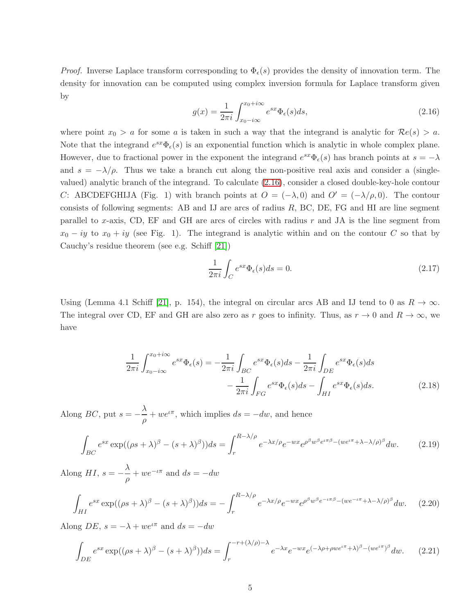*Proof.* Inverse Laplace transform corresponding to  $\Phi_{\epsilon}(s)$  provides the density of innovation term. The density for innovation can be computed using complex inversion formula for Laplace transform given by

<span id="page-4-0"></span>
$$
g(x) = \frac{1}{2\pi i} \int_{x_0 - i\infty}^{x_0 + i\infty} e^{sx} \Phi_{\epsilon}(s) ds,
$$
\n(2.16)

where point  $x_0 > a$  for some a is taken in such a way that the integrand is analytic for  $\mathcal{R}e(s) > a$ . Note that the integrand  $e^{sx}\Phi_{\epsilon}(s)$  is an exponential function which is analytic in whole complex plane. However, due to fractional power in the exponent the integrand  $e^{sx}\Phi_{\epsilon}(s)$  has branch points at  $s=-\lambda$ and  $s = -\lambda/\rho$ . Thus we take a branch cut along the non-positive real axis and consider a (singlevalued) analytic branch of the integrand. To calculate [\(2.16\)](#page-4-0), consider a closed double-key-hole contour C: ABCDEFGHIJA (Fig. 1) with branch points at  $O = (-\lambda, 0)$  and  $O' = (-\lambda/\rho, 0)$ . The contour consists of following segments: AB and IJ are arcs of radius  $R$ , BC, DE, FG and HI are line segment parallel to x-axis, CD, EF and GH are arcs of circles with radius  $r$  and JA is the line segment from  $x_0 - iy$  to  $x_0 + iy$  (see Fig. 1). The integrand is analytic within and on the contour C so that by Cauchy's residue theorem (see e.g. Schiff [\[21\]](#page-18-7))

<span id="page-4-4"></span>
$$
\frac{1}{2\pi i} \int_C e^{sx} \Phi_{\epsilon}(s) ds = 0.
$$
\n(2.17)

Using (Lemma 4.1 Schiff [\[21\]](#page-18-7), p. 154), the integral on circular arcs AB and IJ tend to 0 as  $R \to \infty$ . The integral over CD, EF and GH are also zero as r goes to infinity. Thus, as  $r \to 0$  and  $R \to \infty$ , we have

$$
\frac{1}{2\pi i} \int_{x_0 - i\infty}^{x_0 + i\infty} e^{sx} \Phi_{\epsilon}(s) = -\frac{1}{2\pi i} \int_{BC} e^{sx} \Phi_{\epsilon}(s) ds - \frac{1}{2\pi i} \int_{DE} e^{sx} \Phi_{\epsilon}(s) ds - \frac{1}{2\pi i} \int_{FG} e^{sx} \Phi_{\epsilon}(s) ds - \int_{HI} e^{sx} \Phi_{\epsilon}(s) ds.
$$
\n(2.18)

Along *BC*, put  $s = -\frac{\lambda}{a}$  $\frac{\partial}{\partial \rho} + we^{\iota \pi}$ , which implies  $ds = -dw$ , and hence

<span id="page-4-1"></span>
$$
\int_{BC} e^{sx} \exp((\rho s + \lambda)^{\beta} - (s + \lambda)^{\beta})) ds = \int_{r}^{R - \lambda/\rho} e^{-\lambda x/\rho} e^{-wx} e^{\rho^{\beta}w^{\beta}e^{i\pi\beta} - (we^{i\pi} + \lambda - \lambda/\rho)^{\beta}} dw.
$$
 (2.19)

Along HI,  $s = -\frac{\lambda}{a}$  $\frac{\lambda}{\rho} + we^{-\iota\pi}$  and  $ds = -dw$ 

<span id="page-4-2"></span>
$$
\int_{HI} e^{sx} \exp((\rho s + \lambda)^{\beta} - (s + \lambda)^{\beta})) ds = -\int_{r}^{R-\lambda/\rho} e^{-\lambda x/\rho} e^{-wx} e^{\rho^{\beta}w^{\beta}e^{-\iota\pi\beta} - (we^{-\iota\pi} + \lambda - \lambda/\rho)^{\beta}} dw.
$$
 (2.20)

Along  $DE$ ,  $s = -\lambda + we^{i\pi}$  and  $ds = -dw$ 

<span id="page-4-3"></span>
$$
\int_{DE} e^{sx} \exp((\rho s + \lambda)^{\beta} - (s + \lambda)^{\beta})) ds = \int_{r}^{-r + (\lambda/\rho) - \lambda} e^{-\lambda x} e^{-wx} e^{(-\lambda \rho + \rho w e^{i\pi} + \lambda)^{\beta} - (w e^{i\pi})^{\beta}} dw.
$$
 (2.21)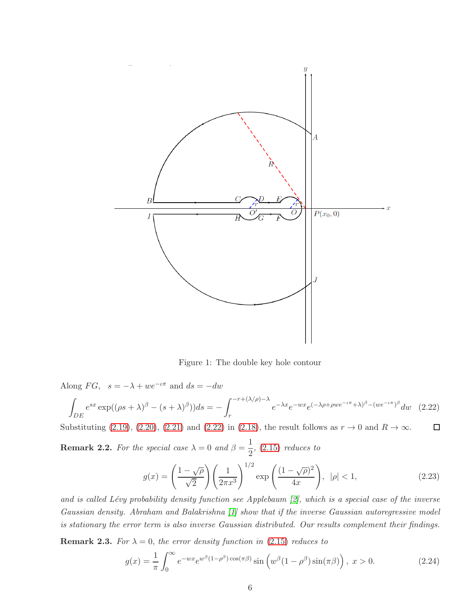

Figure 1: The double key hole contour

Along  $FG$ ,  $s = -\lambda + we^{-\iota\pi}$  and  $ds = -dw$ 

<span id="page-5-0"></span>
$$
\int_{DE} e^{sx} \exp((\rho s + \lambda)^{\beta} - (s + \lambda)^{\beta})) ds = -\int_{r}^{-r + (\lambda/\rho) - \lambda} e^{-\lambda x} e^{-wx} e^{(-\lambda \rho + \rho w e^{-\iota \pi} + \lambda)^{\beta} - (w e^{-\iota \pi})^{\beta}} dw \quad (2.22)
$$

Substituting [\(2.19\)](#page-4-1), [\(2.20\)](#page-4-2), [\(2.21\)](#page-4-3) and [\(2.22\)](#page-5-0) in [\(2.18\)](#page-4-4), the result follows as  $r \to 0$  and  $R \to \infty$ .  $\Box$ 

**Remark 2.2.** For the special case  $\lambda = 0$  and  $\beta = \frac{1}{2}$  $\frac{1}{2}$ , [\(2.15\)](#page-3-2) reduces to

$$
g(x) = \left(\frac{1-\sqrt{\rho}}{\sqrt{2}}\right) \left(\frac{1}{2\pi x^3}\right)^{1/2} \exp\left(\frac{(1-\sqrt{\rho})^2}{4x}\right), \quad |\rho| < 1,\tag{2.23}
$$

and is called Lévy probability density function see Applebaum  $[2]$ , which is a special case of the inverse Gaussian density. Abraham and Balakrishna [\[1\]](#page-17-3) show that if the inverse Gaussian autoregressive model is stationary the error term is also inverse Gaussian distributed. Our results complement their findings.

**Remark 2.3.** For  $\lambda = 0$ , the error density function in [\(2.15\)](#page-3-2) reduces to

<span id="page-5-1"></span>
$$
g(x) = \frac{1}{\pi} \int_0^\infty e^{-wx} e^{w^\beta (1 - \rho^\beta) \cos(\pi \beta)} \sin(w^\beta (1 - \rho^\beta) \sin(\pi \beta)), \ x > 0.
$$
 (2.24)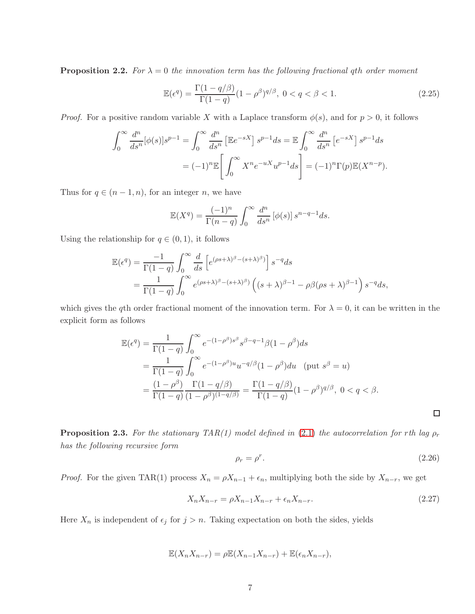<span id="page-6-0"></span>**Proposition 2.2.** For  $\lambda = 0$  the innovation term has the following fractional qth order moment

$$
\mathbb{E}(\epsilon^q) = \frac{\Gamma(1 - q/\beta)}{\Gamma(1 - q)} (1 - \rho^{\beta})^{q/\beta}, \ 0 < q < \beta < 1. \tag{2.25}
$$

*Proof.* For a positive random variable X with a Laplace transform  $\phi(s)$ , and for  $p > 0$ , it follows

$$
\int_0^\infty \frac{d^n}{ds^n} [\phi(s)] s^{p-1} = \int_0^\infty \frac{d^n}{ds^n} \left[ \mathbb{E} e^{-sX} \right] s^{p-1} ds = \mathbb{E} \int_0^\infty \frac{d^n}{ds^n} \left[ e^{-sX} \right] s^{p-1} ds
$$

$$
= (-1)^n \mathbb{E} \left[ \int_0^\infty X^n e^{-uX} u^{p-1} ds \right] = (-1)^n \Gamma(p) \mathbb{E} (X^{n-p}).
$$

Thus for  $q \in (n-1, n)$ , for an integer n, we have

$$
\mathbb{E}(X^q) = \frac{(-1)^n}{\Gamma(n-q)} \int_0^\infty \frac{d^n}{ds^n} \left[\phi(s)\right] s^{n-q-1} ds.
$$

Using the relationship for  $q \in (0, 1)$ , it follows

$$
\mathbb{E}(\epsilon^q) = \frac{-1}{\Gamma(1-q)} \int_0^\infty \frac{d}{ds} \left[ e^{(\rho s + \lambda)^\beta - (s + \lambda)^\beta} \right] s^{-q} ds
$$
  
= 
$$
\frac{1}{\Gamma(1-q)} \int_0^\infty e^{(\rho s + \lambda)^\beta - (s + \lambda)^\beta} \left( (s + \lambda)^{\beta - 1} - \rho \beta (\rho s + \lambda)^{\beta - 1} \right) s^{-q} ds,
$$

which gives the qth order fractional moment of the innovation term. For  $\lambda = 0$ , it can be written in the explicit form as follows

$$
\mathbb{E}(\epsilon^q) = \frac{1}{\Gamma(1-q)} \int_0^\infty e^{-(1-\rho^\beta)s^\beta} s^{\beta-q-1} \beta(1-\rho^\beta) ds
$$
  
\n
$$
= \frac{1}{\Gamma(1-q)} \int_0^\infty e^{-(1-\rho^\beta)u} u^{-q/\beta} (1-\rho^\beta) du \quad (\text{put } s^\beta = u)
$$
  
\n
$$
= \frac{(1-\rho^\beta)}{\Gamma(1-q)} \frac{\Gamma(1-q/\beta)}{(1-\rho^\beta)^{(1-q/\beta)}} = \frac{\Gamma(1-q/\beta)}{\Gamma(1-q)} (1-\rho^\beta)^{q/\beta}, \ 0 < q < \beta.
$$

**Proposition 2.3.** For the stationary TAR(1) model defined in [\(2.1\)](#page-1-0) the autocorrelation for rth lag  $\rho_r$ has the following recursive form

$$
\rho_r = \rho^r. \tag{2.26}
$$

*Proof.* For the given TAR(1) process  $X_n = \rho X_{n-1} + \epsilon_n$ , multiplying both the side by  $X_{n-r}$ , we get

$$
X_n X_{n-r} = \rho X_{n-1} X_{n-r} + \epsilon_n X_{n-r}.
$$
\n(2.27)

Here  $X_n$  is independent of  $\epsilon_j$  for  $j > n$ . Taking expectation on both the sides, yields

$$
\mathbb{E}(X_n X_{n-r}) = \rho \mathbb{E}(X_{n-1} X_{n-r}) + \mathbb{E}(\epsilon_n X_{n-r}),
$$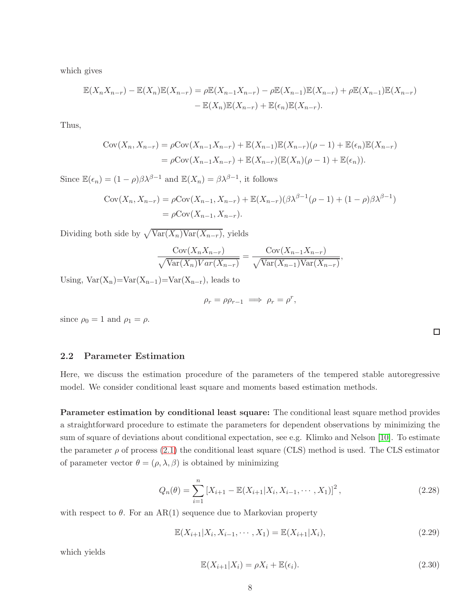which gives

$$
\mathbb{E}(X_n X_{n-r}) - \mathbb{E}(X_n)\mathbb{E}(X_{n-r}) = \rho \mathbb{E}(X_{n-1} X_{n-r}) - \rho \mathbb{E}(X_{n-1})\mathbb{E}(X_{n-r}) + \rho \mathbb{E}(X_{n-1})\mathbb{E}(X_{n-r}) - \mathbb{E}(X_n)\mathbb{E}(X_{n-r}) + \mathbb{E}(\epsilon_n)\mathbb{E}(X_{n-r}).
$$

Thus,

$$
Cov(X_n, X_{n-r}) = \rho Cov(X_{n-1}X_{n-r}) + \mathbb{E}(X_{n-1})\mathbb{E}(X_{n-r})(\rho - 1) + \mathbb{E}(\epsilon_n)\mathbb{E}(X_{n-r})
$$
  
=  $\rho Cov(X_{n-1}X_{n-r}) + \mathbb{E}(X_{n-r})(\mathbb{E}(X_n)(\rho - 1) + \mathbb{E}(\epsilon_n)).$ 

Since  $\mathbb{E}(\epsilon_n) = (1 - \rho)\beta \lambda^{\beta - 1}$  and  $\mathbb{E}(X_n) = \beta \lambda^{\beta - 1}$ , it follows

$$
Cov(X_n, X_{n-r}) = \rho Cov(X_{n-1}, X_{n-r}) + \mathbb{E}(X_{n-r})(\beta \lambda^{\beta-1}(\rho - 1) + (1 - \rho)\beta \lambda^{\beta-1})
$$
  
=  $\rho Cov(X_{n-1}, X_{n-r}).$ 

Dividing both side by  $\sqrt{\text{Var}(X_n)\text{Var}(X_{n-r})}$ , yields

$$
\frac{\text{Cov}(X_n X_{n-r})}{\sqrt{\text{Var}(X_n)\text{Var}(X_{n-r})}} = \frac{\text{Cov}(X_{n-1} X_{n-r})}{\sqrt{\text{Var}(X_{n-1})\text{Var}(X_{n-r})}},
$$

Using,  $Var(X_n) = Var(X_{n-1}) = Var(X_{n-r})$ , leads to

$$
\rho_r = \rho \rho_{r-1} \implies \rho_r = \rho^r,
$$

since  $\rho_0 = 1$  and  $\rho_1 = \rho$ .

### 2.2 Parameter Estimation

Here, we discuss the estimation procedure of the parameters of the tempered stable autoregressive model. We consider conditional least square and moments based estimation methods.

Parameter estimation by conditional least square: The conditional least square method provides a straightforward procedure to estimate the parameters for dependent observations by minimizing the sum of square of deviations about conditional expectation, see e.g. Klimko and Nelson [\[10\]](#page-18-8). To estimate the parameter  $\rho$  of process [\(2.1\)](#page-1-0) the conditional least square (CLS) method is used. The CLS estimator of parameter vector  $\theta = (\rho, \lambda, \beta)$  is obtained by minimizing

<span id="page-7-0"></span>
$$
Q_n(\theta) = \sum_{i=1}^n \left[ X_{i+1} - \mathbb{E}(X_{i+1}|X_i, X_{i-1}, \cdots, X_1) \right]^2, \tag{2.28}
$$

with respect to  $\theta$ . For an AR(1) sequence due to Markovian property

$$
\mathbb{E}(X_{i+1}|X_i, X_{i-1}, \cdots, X_1) = \mathbb{E}(X_{i+1}|X_i),\tag{2.29}
$$

which yields

<span id="page-7-1"></span>
$$
\mathbb{E}(X_{i+1}|X_i) = \rho X_i + \mathbb{E}(\epsilon_i). \tag{2.30}
$$

 $\Box$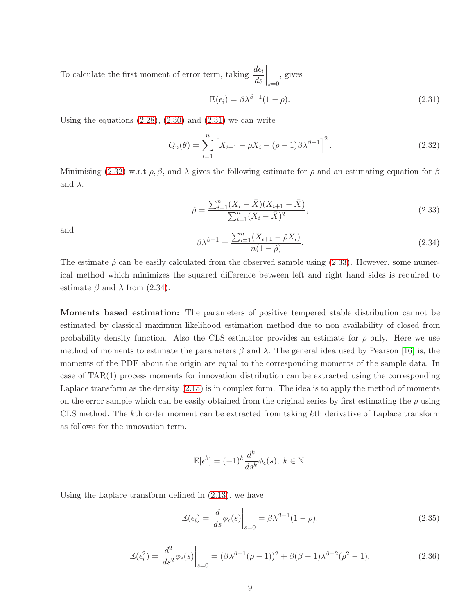To calculate the first moment of error term, taking  $\frac{d\epsilon_i}{ds}$  $\bigg|_{s=0}$ , gives

<span id="page-8-0"></span>
$$
\mathbb{E}(\epsilon_i) = \beta \lambda^{\beta - 1} (1 - \rho). \tag{2.31}
$$

Using the equations  $(2.28)$ ,  $(2.30)$  and  $(2.31)$  we can write

<span id="page-8-1"></span>
$$
Q_n(\theta) = \sum_{i=1}^n \left[ X_{i+1} - \rho X_i - (\rho - 1)\beta \lambda^{\beta - 1} \right]^2.
$$
 (2.32)

Minimising [\(2.32\)](#page-8-1) w.r.t  $\rho$ ,  $\beta$ , and  $\lambda$  gives the following estimate for  $\rho$  and an estimating equation for  $\beta$ and  $\lambda$ .

<span id="page-8-2"></span>
$$
\hat{\rho} = \frac{\sum_{i=1}^{n} (X_i - \bar{X})(X_{i+1} - \bar{X})}{\sum_{i=1}^{n} (X_i - \bar{X})^2},
$$
\n(2.33)

and

<span id="page-8-3"></span>
$$
\beta \lambda^{\beta - 1} = \frac{\sum_{i=1}^{n} (X_{i+1} - \hat{\rho} X_i)}{n(1 - \hat{\rho})}.
$$
\n(2.34)

The estimate  $\hat{\rho}$  can be easily calculated from the observed sample using [\(2.33\)](#page-8-2). However, some numerical method which minimizes the squared difference between left and right hand sides is required to estimate  $\beta$  and  $\lambda$  from [\(2.34\)](#page-8-3).

Moments based estimation: The parameters of positive tempered stable distribution cannot be estimated by classical maximum likelihood estimation method due to non availability of closed from probability density function. Also the CLS estimator provides an estimate for  $\rho$  only. Here we use method of moments to estimate the parameters  $\beta$  and  $\lambda$ . The general idea used by Pearson [\[16\]](#page-18-9) is, the moments of the PDF about the origin are equal to the corresponding moments of the sample data. In case of TAR(1) process moments for innovation distribution can be extracted using the corresponding Laplace transform as the density [\(2.15\)](#page-3-2) is in complex form. The idea is to apply the method of moments on the error sample which can be easily obtained from the original series by first estimating the  $\rho$  using CLS method. The kth order moment can be extracted from taking kth derivative of Laplace transform as follows for the innovation term.

<span id="page-8-4"></span>
$$
\mathbb{E}[\epsilon^k] = (-1)^k \frac{d^k}{ds^k} \phi_{\epsilon}(s), \ k \in \mathbb{N}.
$$

Using the Laplace transform defined in [\(2.13\)](#page-3-1), we have

<span id="page-8-5"></span>
$$
\mathbb{E}(\epsilon_i) = \left. \frac{d}{ds} \phi_{\epsilon}(s) \right|_{s=0} = \beta \lambda^{\beta - 1} (1 - \rho). \tag{2.35}
$$

$$
\mathbb{E}(\epsilon_i^2) = \frac{d^2}{ds^2} \phi_{\epsilon}(s) \Big|_{s=0} = (\beta \lambda^{\beta - 1} (\rho - 1))^2 + \beta (\beta - 1) \lambda^{\beta - 2} (\rho^2 - 1).
$$
 (2.36)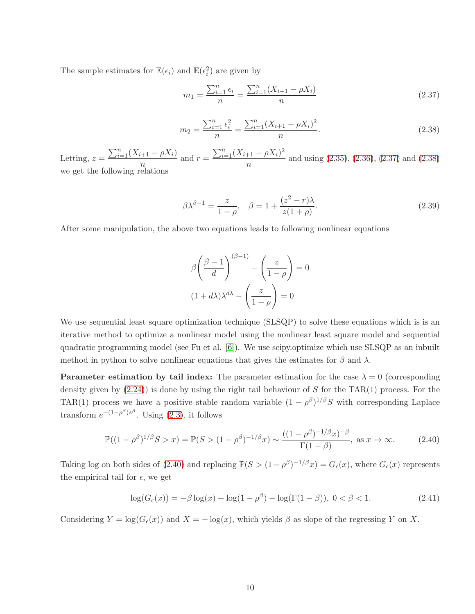The sample estimates for  $\mathbb{E}(\epsilon_i)$  and  $\mathbb{E}(\epsilon_i^2)$  are given by

<span id="page-9-0"></span>
$$
m_1 = \frac{\sum_{i=1}^{n} \epsilon_i}{n} = \frac{\sum_{i=1}^{n} (X_{i+1} - \rho X_i)}{n}
$$
\n(2.37)

<span id="page-9-1"></span>
$$
m_2 = \frac{\sum_{i=1}^n \epsilon_i^2}{n} = \frac{\sum_{i=1}^n (X_{i+1} - \rho X_i)^2}{n}.
$$
\n(2.38)

Letting,  $z = \frac{\sum_{i=1}^{n} (X_{i+1} - \rho X_i)}{n}$  $\frac{(n+1)-\rho X_i}{n}$  and  $r = \frac{\sum_{i=1}^{n} (X_{i+1}-\rho X_i)^2}{n}$  $\frac{n+1}{n}$  and using [\(2.35\)](#page-8-4), [\(2.36\)](#page-8-5), [\(2.37\)](#page-9-0) and [\(2.38\)](#page-9-1) we get the following relations

$$
\beta \lambda^{\beta - 1} = \frac{z}{1 - \rho}, \quad \beta = 1 + \frac{(z^2 - r)\lambda}{z(1 + \rho)}.
$$
\n
$$
(2.39)
$$

After some manipulation, the above two equations leads to following nonlinear equations

<span id="page-9-2"></span>
$$
\beta \left(\frac{\beta - 1}{d}\right)^{(\beta - 1)} - \left(\frac{z}{1 - \rho}\right) = 0
$$

$$
(1 + d\lambda)\lambda^{d\lambda} - \left(\frac{z}{1 - \rho}\right) = 0
$$

We use sequential least square optimization technique (SLSQP) to solve these equations which is is an iterative method to optimize a nonlinear model using the nonlinear least square model and sequential quadratic programming model (see Fu et al. [\[6\]](#page-17-6)). We use scipy.optimize which use SLSQP as an inbuilt method in python to solve nonlinear equations that gives the estimates for  $\beta$  and  $\lambda$ .

**Parameter estimation by tail index:** The parameter estimation for the case  $\lambda = 0$  (corresponding density given by  $(2.24)$ ) is done by using the right tail behaviour of S for the TAR(1) process. For the TAR(1) process we have a positive stable random variable  $(1 - \rho^{\beta})^{1/\beta}S$  with corresponding Laplace transform  $e^{-(1-\rho^{\beta})s^{\beta}}$ . Using [\(2.3\)](#page-1-1), it follows

$$
\mathbb{P}((1 - \rho^{\beta})^{1/\beta} S > x) = \mathbb{P}(S > (1 - \rho^{\beta})^{-1/\beta} x) \sim \frac{((1 - \rho^{\beta})^{-1/\beta} x)^{-\beta}}{\Gamma(1 - \beta)}, \text{ as } x \to \infty.
$$
 (2.40)

Taking log on both sides of [\(2.40\)](#page-9-2) and replacing  $\mathbb{P}(S > (1 - \rho^{\beta})^{-1/\beta}x) = G_{\epsilon}(x)$ , where  $G_{\epsilon}(x)$  represents the empirical tail for  $\epsilon$ , we get

<span id="page-9-3"></span>
$$
\log(G_{\epsilon}(x)) = -\beta \log(x) + \log(1 - \rho^{\beta}) - \log(\Gamma(1 - \beta)), \ 0 < \beta < 1. \tag{2.41}
$$

Considering  $Y = \log(G_\epsilon(x))$  and  $X = -\log(x)$ , which yields  $\beta$  as slope of the regressing Y on X.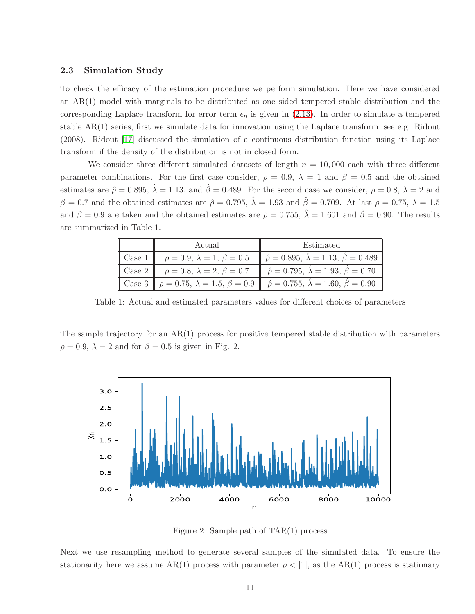#### 2.3 Simulation Study

To check the efficacy of the estimation procedure we perform simulation. Here we have considered an AR(1) model with marginals to be distributed as one sided tempered stable distribution and the corresponding Laplace transform for error term  $\epsilon_n$  is given in [\(2.13\)](#page-3-1). In order to simulate a tempered stable AR(1) series, first we simulate data for innovation using the Laplace transform, see e.g. Ridout (2008). Ridout [\[17\]](#page-18-10) discussed the simulation of a continuous distribution function using its Laplace transform if the density of the distribution is not in closed form.

We consider three different simulated datasets of length  $n = 10,000$  each with three different parameter combinations. For the first case consider,  $\rho = 0.9$ ,  $\lambda = 1$  and  $\beta = 0.5$  and the obtained estimates are  $\hat{\rho} = 0.895$ ,  $\hat{\lambda} = 1.13$ . and  $\hat{\beta} = 0.489$ . For the second case we consider,  $\rho = 0.8$ ,  $\lambda = 2$  and  $\beta = 0.7$  and the obtained estimates are  $\hat{\rho} = 0.795$ ,  $\hat{\lambda} = 1.93$  and  $\hat{\beta} = 0.709$ . At last  $\rho = 0.75$ ,  $\lambda = 1.5$ and  $\beta = 0.9$  are taken and the obtained estimates are  $\hat{\rho} = 0.755$ ,  $\hat{\lambda} = 1.601$  and  $\hat{\beta} = 0.90$ . The results are summarized in Table 1.

| Actual                                          | Estimated                                                                                                                 |
|-------------------------------------------------|---------------------------------------------------------------------------------------------------------------------------|
|                                                 | Case 1 $\rho = 0.9, \lambda = 1, \beta = 0.5$ $\rho = 0.895, \lambda = 1.13, \beta = 0.489$                               |
| $\cos^2 \theta = 0.8, \lambda = 2, \beta = 0.7$ | $\hat{\rho} = 0.795, \lambda = 1.93, \beta = 0.70$                                                                        |
|                                                 | Case 3 $\ \rho = 0.75, \ \lambda = 1.5, \ \beta = 0.9 \ \hat{\rho} = 0.755, \ \hat{\lambda} = 1.60, \ \hat{\beta} = 0.90$ |

Table 1: Actual and estimated parameters values for different choices of parameters

The sample trajectory for an AR(1) process for positive tempered stable distribution with parameters  $\rho = 0.9$ ,  $\lambda = 2$  and for  $\beta = 0.5$  is given in Fig. 2.



Figure 2: Sample path of TAR(1) process

Next we use resampling method to generate several samples of the simulated data. To ensure the stationarity here we assume AR(1) process with parameter  $\rho < |1|$ , as the AR(1) process is stationary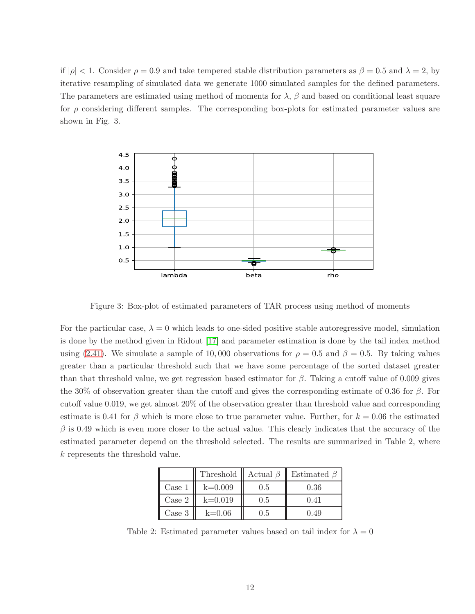if  $|\rho| < 1$ . Consider  $\rho = 0.9$  and take tempered stable distribution parameters as  $\beta = 0.5$  and  $\lambda = 2$ , by iterative resampling of simulated data we generate 1000 simulated samples for the defined parameters. The parameters are estimated using method of moments for  $\lambda$ ,  $\beta$  and based on conditional least square for  $\rho$  considering different samples. The corresponding box-plots for estimated parameter values are shown in Fig. 3.



Figure 3: Box-plot of estimated parameters of TAR process using method of moments

For the particular case,  $\lambda = 0$  which leads to one-sided positive stable autoregressive model, simulation is done by the method given in Ridout [\[17\]](#page-18-10) and parameter estimation is done by the tail index method using [\(2.41\)](#page-9-3). We simulate a sample of 10,000 observations for  $\rho = 0.5$  and  $\beta = 0.5$ . By taking values greater than a particular threshold such that we have some percentage of the sorted dataset greater than that threshold value, we get regression based estimator for  $\beta$ . Taking a cutoff value of 0.009 gives the 30% of observation greater than the cutoff and gives the corresponding estimate of 0.36 for  $\beta$ . For cutoff value 0.019, we get almost 20% of the observation greater than threshold value and corresponding estimate is 0.41 for  $\beta$  which is more close to true parameter value. Further, for  $k = 0.06$  the estimated  $\beta$  is 0.49 which is even more closer to the actual value. This clearly indicates that the accuracy of the estimated parameter depend on the threshold selected. The results are summarized in Table 2, where k represents the threshold value.

|        | Threshold | Actual $\beta$ | Estimated $\beta$ |
|--------|-----------|----------------|-------------------|
| Case 1 | $k=0.009$ | 0.5            | 0.36              |
| Case 2 | $k=0.019$ | 0.5            | 0.41              |
| Case 3 | $k=0.06$  | 1.5            | 0.49              |

Table 2: Estimated parameter values based on tail index for  $\lambda = 0$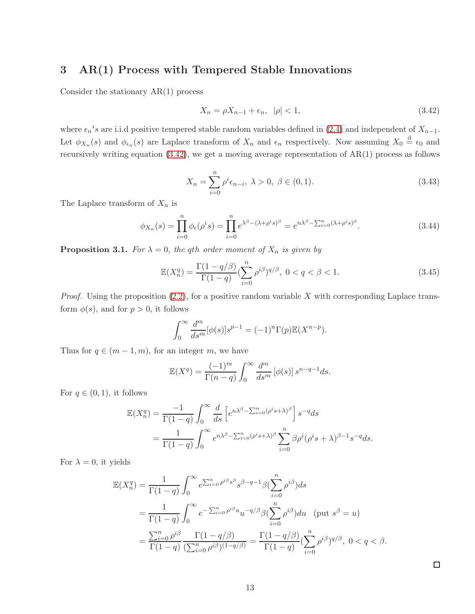# 3 AR(1) Process with Tempered Stable Innovations

Consider the stationary AR(1) process

<span id="page-12-0"></span>
$$
X_n = \rho X_{n-1} + \epsilon_n, \quad |\rho| < 1,\tag{3.42}
$$

where  $\epsilon_n$ 's are i.i.d positive tempered stable random variables defined in [\(2.4\)](#page-2-3) and independent of  $X_{n-1}$ . Let  $\phi_{X_n}(s)$  and  $\phi_{\epsilon_n}(s)$  are Laplace transform of  $X_n$  and  $\epsilon_n$  respectively. Now assuming  $X_0 \stackrel{d}{=} \epsilon_0$  and recursively writing equation [\(3.42\)](#page-12-0), we get a moving average representation of AR(1) process as follows

$$
X_n = \sum_{i=0}^n \rho^i \epsilon_{n-i}, \ \lambda > 0, \ \beta \in (0,1). \tag{3.43}
$$

The Laplace transform of  $X_n$  is

$$
\phi_{X_n}(s) = \prod_{i=0}^n \phi_\epsilon(\rho^i s) = \prod_{i=0}^n e^{\lambda^\beta - (\lambda + \rho^i s)^\beta} = e^{n\lambda^\beta - \sum_{i=0}^n (\lambda + \rho^i s)^\beta}.
$$
\n(3.44)

**Proposition 3.1.** For  $\lambda = 0$ , the qth order moment of  $X_n$  is given by

$$
\mathbb{E}(X_n^q) = \frac{\Gamma(1 - q/\beta)}{\Gamma(1 - q)} \left(\sum_{i=0}^n \rho^{i\beta}\right)^{q/\beta}, \ 0 < q < \beta < 1. \tag{3.45}
$$

*Proof.* Using the proposition  $(2.2)$ , for a positive random variable X with corresponding Laplace transform  $\phi(s)$ , and for  $p > 0$ , it follows

$$
\int_0^\infty \frac{d^m}{ds^m} [\phi(s)] s^{p-1} = (-1)^n \Gamma(p) \mathbb{E}(X^{n-p}).
$$

Thus for  $q \in (m-1, m)$ , for an integer m, we have

$$
\mathbb{E}(X^q) = \frac{(-1)^m}{\Gamma(n-q)} \int_0^\infty \frac{d^m}{ds^m} \left[\phi(s)\right] s^{n-q-1} ds.
$$

For  $q \in (0,1)$ , it follows

$$
\mathbb{E}(X_n^q) = \frac{-1}{\Gamma(1-q)} \int_0^\infty \frac{d}{ds} \left[ e^{n\lambda^\beta - \sum_{i=0}^n (\rho^i s + \lambda)^\beta} \right] s^{-q} ds
$$
  
= 
$$
\frac{1}{\Gamma(1-q)} \int_0^\infty e^{n\lambda^\beta - \sum_{i=0}^n (\rho^i s + \lambda)^\beta} \sum_{i=0}^n \beta \rho^i (\rho^i s + \lambda)^{\beta-1} s^{-q} ds.
$$

For  $\lambda = 0$ , it yields

$$
\mathbb{E}(X_n^q) = \frac{1}{\Gamma(1-q)} \int_0^\infty e^{\sum_{i=0}^n \rho^{i\beta} s^\beta} s^{\beta-q-1} \beta \left(\sum_{i=0}^n \rho^{i\beta}\right) ds
$$
  
= 
$$
\frac{1}{\Gamma(1-q)} \int_0^\infty e^{-\sum_{i=0}^n \rho^{i\beta} u} u^{-q/\beta} \beta \left(\sum_{i=0}^n \rho^{i\beta}\right) du \quad (\text{put } s^\beta = u)
$$
  
= 
$$
\frac{\sum_{i=0}^n \rho^{i\beta}}{\Gamma(1-q)} \frac{\Gamma(1-q/\beta)}{(\sum_{i=0}^n \rho^{i\beta})^{(1-q/\beta)}} = \frac{\Gamma(1-q/\beta)}{\Gamma(1-q)} \left(\sum_{i=0}^n \rho^{i\beta}\right)^{q/\beta}, \ 0 < q < \beta.
$$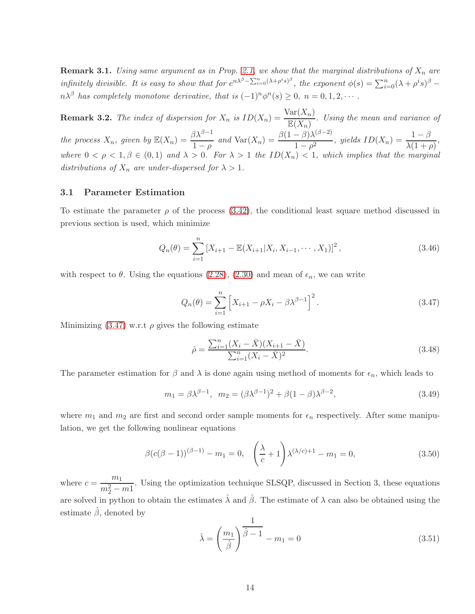**Remark 3.1.** Using same argument as in Prop. [2.1,](#page-3-3) we show that the marginal distributions of  $X_n$  are infinitely divisible. It is easy to show that for  $e^{n\lambda^{\beta}-\sum_{i=0}^{n}(\lambda+\rho^{i}s)^{\beta}}$ , the exponent  $\phi(s)=\sum_{i=0}^{n}(\lambda+\rho^{i}s)^{\beta}-\phi(s)$  $n\lambda^{\beta}$  has completely monotone derivative, that is  $(-1)^{n}\phi^{n}(s) \geq 0$ ,  $n = 0, 1, 2, \cdots$ .

**Remark 3.2.** The index of dispersion for  $X_n$  is  $ID(X_n) = \frac{Var(X_n)}{\mathbb{E}(X_n)}$ . Using the mean and variance of the process  $X_n$ , given by  $\mathbb{E}(X_n) = \frac{\beta \lambda^{\beta-1}}{1-\beta}$  $1-\rho$ and Var $(X_n) = \frac{\beta(1-\beta)\lambda^{(\beta-2)}}{1-\beta^2}$  $\frac{(1-\beta)\lambda^{(\beta-2)}}{1-\rho^2}$ , yields  $ID(X_n) = \frac{1-\beta}{\lambda(1+\rho)},$ where  $0 < \rho < 1, \beta \in (0,1)$  and  $\lambda > 0$ . For  $\lambda > 1$  the  $ID(X_n) < 1$ , which implies that the marginal distributions of  $X_n$  are under-dispersed for  $\lambda > 1$ .

#### 3.1 Parameter Estimation

To estimate the parameter  $\rho$  of the process [\(3.42\)](#page-12-0), the conditional least square method discussed in previous section is used, which minimize

$$
Q_n(\theta) = \sum_{i=1}^n \left[ X_{i+1} - \mathbb{E}(X_{i+1}|X_i, X_{i-1}, \cdots, X_1) \right]^2, \tag{3.46}
$$

with respect to  $\theta$ . Using the equations [\(2.28\)](#page-7-0), [\(2.30\)](#page-7-1) and mean of  $\epsilon_n$ , we can write

<span id="page-13-0"></span>
$$
Q_n(\theta) = \sum_{i=1}^n \left[ X_{i+1} - \rho X_i - \beta \lambda^{\beta - 1} \right]^2.
$$
 (3.47)

Minimizing  $(3.47)$  w.r.t  $\rho$  gives the following estimate

$$
\hat{\rho} = \frac{\sum_{i=1}^{n} (X_i - \bar{X})(X_{i+1} - \bar{X})}{\sum_{i=1}^{n} (X_i - \bar{X})^2}.
$$
\n(3.48)

The parameter estimation for  $\beta$  and  $\lambda$  is done again using method of moments for  $\epsilon_n$ , which leads to

$$
m_1 = \beta \lambda^{\beta - 1}, \quad m_2 = (\beta \lambda^{\beta - 1})^2 + \beta (1 - \beta) \lambda^{\beta - 2}, \tag{3.49}
$$

where  $m_1$  and  $m_2$  are first and second order sample moments for  $\epsilon_n$  respectively. After some manipulation, we get the following nonlinear equations

$$
\beta (c(\beta - 1))^{(\beta - 1)} - m_1 = 0, \quad \left(\frac{\lambda}{c} + 1\right) \lambda^{(\lambda/c) + 1} - m_1 = 0,\tag{3.50}
$$

where  $c = \frac{m_1}{2}$  $\frac{m_1}{m_2^2 - m_1}$ . Using the optimization technique SLSQP, discussed in Section 3, these equations are solved in python to obtain the estimates  $\hat{\lambda}$  and  $\hat{\beta}$ . The estimate of  $\lambda$  can also be obtained using the estimate  $\hat{\beta}$ , denoted by

$$
\hat{\lambda} = \left(\frac{m_1}{\hat{\beta}}\right)^{\frac{1}{\hat{\beta}-1}} - m_1 = 0\tag{3.51}
$$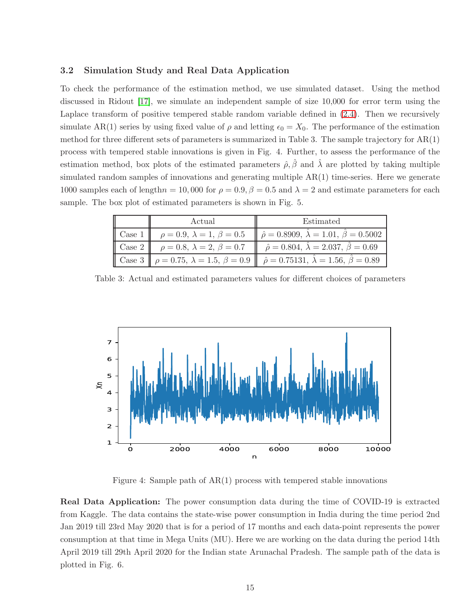### 3.2 Simulation Study and Real Data Application

To check the performance of the estimation method, we use simulated dataset. Using the method discussed in Ridout [\[17\]](#page-18-10), we simulate an independent sample of size 10,000 for error term using the Laplace transform of positive tempered stable random variable defined in [\(2.4\)](#page-2-3). Then we recursively simulate AR(1) series by using fixed value of  $\rho$  and letting  $\epsilon_0 = X_0$ . The performance of the estimation method for three different sets of parameters is summarized in Table 3. The sample trajectory for  $AR(1)$ process with tempered stable innovations is given in Fig. 4. Further, to assess the performance of the estimation method, box plots of the estimated parameters  $\hat{\rho}, \hat{\beta}$  and  $\hat{\lambda}$  are plotted by taking multiple simulated random samples of innovations and generating multiple  $AR(1)$  time-series. Here we generate 1000 samples each of length $n = 10,000$  for  $\rho = 0.9, \beta = 0.5$  and  $\lambda = 2$  and estimate parameters for each sample. The box plot of estimated parameters is shown in Fig. 5.

|                        | Actual                                 | Estimated                                                                                                     |
|------------------------|----------------------------------------|---------------------------------------------------------------------------------------------------------------|
| $\vert$ Case 1 $\vert$ | $\rho = 0.9, \lambda = 1, \beta = 0.5$ | $\hat{\rho} = 0.8909, \lambda = 1.01, \hat{\beta} = 0.5002$                                                   |
| $\vert$ Case 2 $\vert$ | $\rho = 0.8, \lambda = 2, \beta = 0.7$ | $\hat{\rho} = 0.804, \lambda = 2.037, \beta = 0.69$                                                           |
|                        |                                        | Case 3 $\ \rho = 0.75, \lambda = 1.5, \beta = 0.9 \ \hat{\rho} = 0.75131, \lambda = 1.56, \hat{\beta} = 0.89$ |

Table 3: Actual and estimated parameters values for different choices of parameters



Figure 4: Sample path of  $AR(1)$  process with tempered stable innovations

Real Data Application: The power consumption data during the time of COVID-19 is extracted from Kaggle. The data contains the state-wise power consumption in India during the time period 2nd Jan 2019 till 23rd May 2020 that is for a period of 17 months and each data-point represents the power consumption at that time in Mega Units (MU). Here we are working on the data during the period 14th April 2019 till 29th April 2020 for the Indian state Arunachal Pradesh. The sample path of the data is plotted in Fig. 6.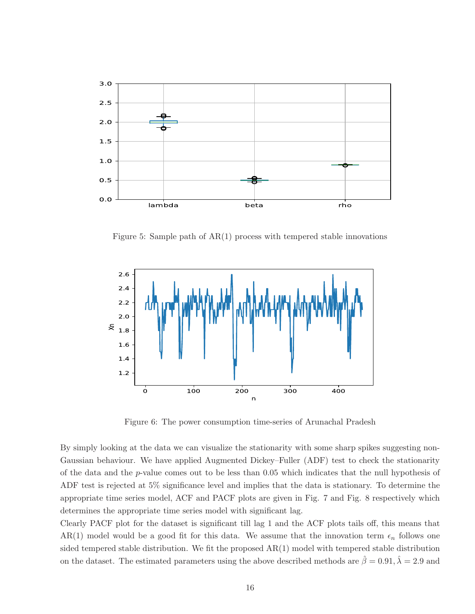

Figure 5: Sample path of AR(1) process with tempered stable innovations



Figure 6: The power consumption time-series of Arunachal Pradesh

By simply looking at the data we can visualize the stationarity with some sharp spikes suggesting non-Gaussian behaviour. We have applied Augmented Dickey–Fuller (ADF) test to check the stationarity of the data and the p-value comes out to be less than 0.05 which indicates that the null hypothesis of ADF test is rejected at 5% significance level and implies that the data is stationary. To determine the appropriate time series model, ACF and PACF plots are given in Fig. 7 and Fig. 8 respectively which determines the appropriate time series model with significant lag.

Clearly PACF plot for the dataset is significant till lag 1 and the ACF plots tails off, this means that AR(1) model would be a good fit for this data. We assume that the innovation term  $\epsilon_n$  follows one sided tempered stable distribution. We fit the proposed AR(1) model with tempered stable distribution on the dataset. The estimated parameters using the above described methods are  $\hat{\beta} = 0.91, \hat{\lambda} = 2.9$  and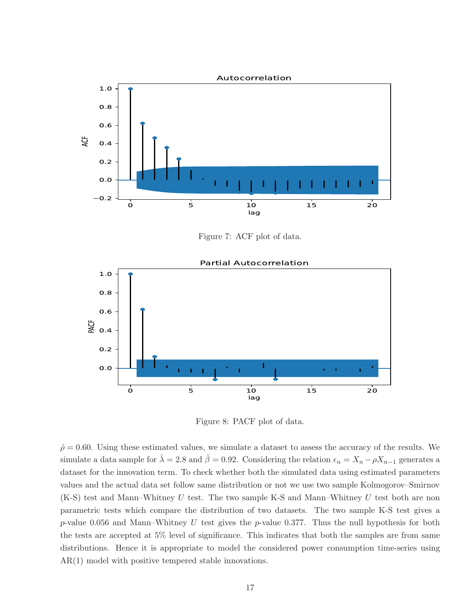

Figure 7: ACF plot of data.



Figure 8: PACF plot of data.

 $\hat{\rho} = 0.60$ . Using these estimated values, we simulate a dataset to assess the accuracy of the results. We simulate a data sample for  $\hat{\lambda} = 2.8$  and  $\hat{\beta} = 0.92$ . Considering the relation  $\epsilon_n = X_n - \rho X_{n-1}$  generates a dataset for the innovation term. To check whether both the simulated data using estimated parameters values and the actual data set follow same distribution or not we use two sample Kolmogorov–Smirnov  $(K-S)$  test and Mann–Whitney U test. The two sample K-S and Mann–Whitney U test both are non parametric tests which compare the distribution of two datasets. The two sample K-S test gives a p-value 0.056 and Mann–Whitney U test gives the p-value 0.377. Thus the null hypothesis for both the tests are accepted at 5% level of significance. This indicates that both the samples are from same distributions. Hence it is appropriate to model the considered power consumption time-series using AR(1) model with positive tempered stable innovations.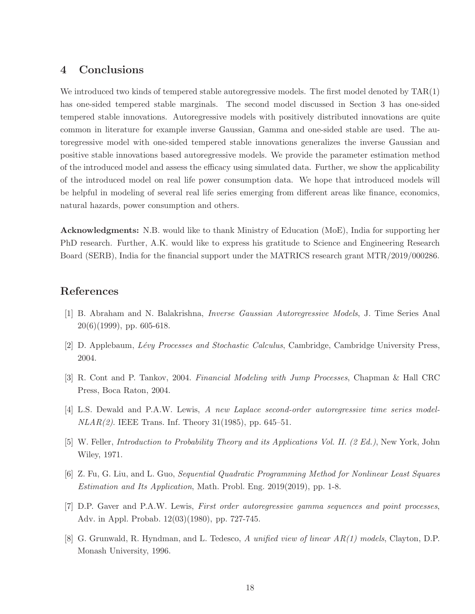## 4 Conclusions

We introduced two kinds of tempered stable autoregressive models. The first model denoted by TAR(1) has one-sided tempered stable marginals. The second model discussed in Section 3 has one-sided tempered stable innovations. Autoregressive models with positively distributed innovations are quite common in literature for example inverse Gaussian, Gamma and one-sided stable are used. The autoregressive model with one-sided tempered stable innovations generalizes the inverse Gaussian and positive stable innovations based autoregressive models. We provide the parameter estimation method of the introduced model and assess the efficacy using simulated data. Further, we show the applicability of the introduced model on real life power consumption data. We hope that introduced models will be helpful in modeling of several real life series emerging from different areas like finance, economics, natural hazards, power consumption and others.

Acknowledgments: N.B. would like to thank Ministry of Education (MoE), India for supporting her PhD research. Further, A.K. would like to express his gratitude to Science and Engineering Research Board (SERB), India for the financial support under the MATRICS research grant MTR/2019/000286.

# <span id="page-17-3"></span>References

- <span id="page-17-5"></span>[1] B. Abraham and N. Balakrishna, Inverse Gaussian Autoregressive Models, J. Time Series Anal  $20(6)(1999)$ , pp. 605-618.
- [2] D. Applebaum, Lévy Processes and Stochastic Calculus, Cambridge, Cambridge University Press, 2004.
- <span id="page-17-2"></span>[3] R. Cont and P. Tankov, 2004. Financial Modeling with Jump Processes, Chapman & Hall CRC Press, Boca Raton, 2004.
- <span id="page-17-4"></span>[4] L.S. Dewald and P.A.W. Lewis, A new Laplace second-order autoregressive time series model- $NLAR(2)$ . IEEE Trans. Inf. Theory 31(1985), pp. 645–51.
- <span id="page-17-6"></span>[5] W. Feller, Introduction to Probability Theory and its Applications Vol. II. (2 Ed.), New York, John Wiley, 1971.
- <span id="page-17-1"></span>[6] Z. Fu, G. Liu, and L. Guo, Sequential Quadratic Programming Method for Nonlinear Least Squares Estimation and Its Application, Math. Probl. Eng. 2019(2019), pp. 1-8.
- <span id="page-17-0"></span>[7] D.P. Gaver and P.A.W. Lewis, First order autoregressive gamma sequences and point processes, Adv. in Appl. Probab. 12(03)(1980), pp. 727-745.
- [8] G. Grunwald, R. Hyndman, and L. Tedesco, A unified view of linear AR(1) models, Clayton, D.P. Monash University, 1996.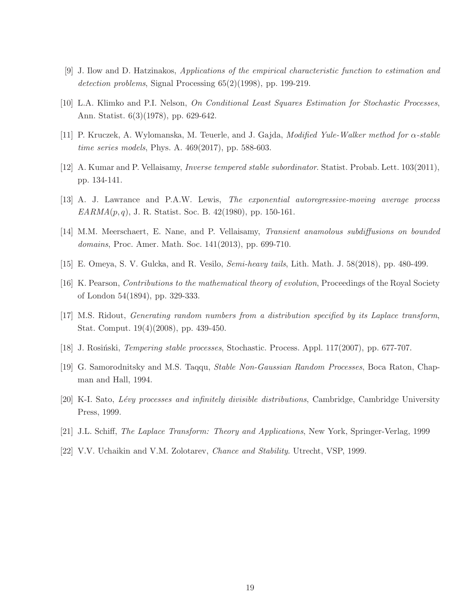- <span id="page-18-8"></span>[9] J. Ilow and D. Hatzinakos, Applications of the empirical characteristic function to estimation and detection problems, Signal Processing  $65(2)(1998)$ , pp. 199-219.
- [10] L.A. Klimko and P.I. Nelson, On Conditional Least Squares Estimation for Stochastic Processes, Ann. Statist. 6(3)(1978), pp. 629-642.
- <span id="page-18-4"></span>[11] P. Kruczek, A. Wylomanska, M. Teuerle, and J. Gajda, Modified Yule-Walker method for α-stable time series models, Phys. A. 469(2017), pp. 588-603.
- <span id="page-18-1"></span>[12] A. Kumar and P. Vellaisamy, Inverse tempered stable subordinator. Statist. Probab. Lett. 103(2011), pp. 134-141.
- <span id="page-18-3"></span>[13] A. J. Lawrance and P.A.W. Lewis, The exponential autoregressive-moving average process  $EARMA(p,q)$ , J. R. Statist. Soc. B. 42(1980), pp. 150-161.
- <span id="page-18-0"></span>[14] M.M. Meerschaert, E. Nane, and P. Vellaisamy, Transient anamolous subdiffusions on bounded domains, Proc. Amer. Math. Soc. 141(2013), pp. 699-710.
- <span id="page-18-9"></span>[15] E. Omeya, S. V. Gulcka, and R. Vesilo, Semi-heavy tails, Lith. Math. J. 58(2018), pp. 480-499.
- <span id="page-18-10"></span>[16] K. Pearson, Contributions to the mathematical theory of evolution, Proceedings of the Royal Society of London 54(1894), pp. 329-333.
- <span id="page-18-5"></span>[17] M.S. Ridout, Generating random numbers from a distribution specified by its Laplace transform, Stat. Comput. 19(4)(2008), pp. 439-450.
- <span id="page-18-2"></span>[18] J. Rosiński, *Tempering stable processes*, Stochastic. Process. Appl. 117(2007), pp. 677-707.
- [19] G. Samorodnitsky and M.S. Taqqu, Stable Non-Gaussian Random Processes, Boca Raton, Chapman and Hall, 1994.
- <span id="page-18-7"></span>[20] K-I. Sato, Lévy processes and infinitely divisible distributions, Cambridge, Cambridge University Press, 1999.
- <span id="page-18-6"></span>[21] J.L. Schiff, The Laplace Transform: Theory and Applications, New York, Springer-Verlag, 1999
- [22] V.V. Uchaikin and V.M. Zolotarev, Chance and Stability. Utrecht, VSP, 1999.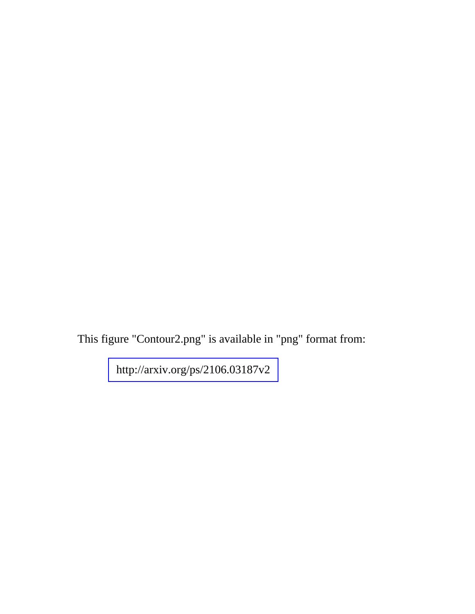This figure "Contour2.png" is available in "png" format from:

<http://arxiv.org/ps/2106.03187v2>